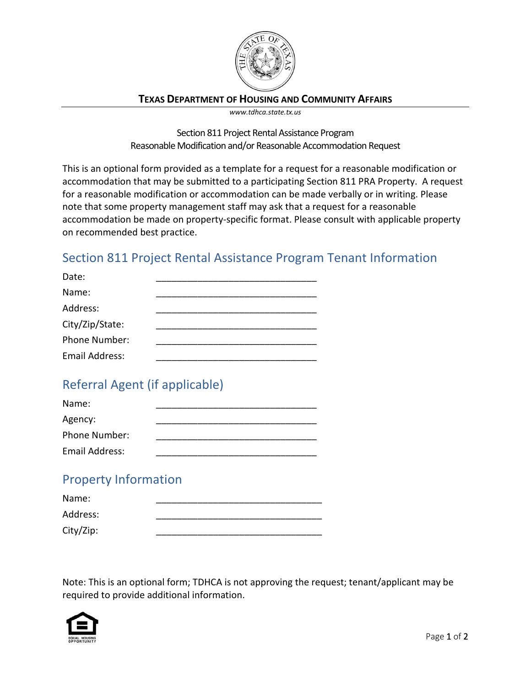

### **TEXAS DEPARTMENT OF HOUSING AND COMMUNITY AFFAIRS**

*www.tdhca.state.tx.us*

Section 811 Project Rental Assistance Program Reasonable Modification and/or Reasonable Accommodation Request

This is an optional form provided as a template for a request for a reasonable modification or accommodation that may be submitted to a participating Section 811 PRA Property. A request for a reasonable modification or accommodation can be made verbally or in writing. Please note that some property management staff may ask that a request for a reasonable accommodation be made on property-specific format. Please consult with applicable property on recommended best practice.

## Section 811 Project Rental Assistance Program Tenant Information

| Date:                |  |
|----------------------|--|
| Name:                |  |
| Address:             |  |
| City/Zip/State:      |  |
| <b>Phone Number:</b> |  |
| Email Address:       |  |

# Referral Agent (if applicable)

| Name:                |  |
|----------------------|--|
| Agency:              |  |
| <b>Phone Number:</b> |  |
| Email Address:       |  |

### Property Information

| Name:     |  |
|-----------|--|
| Address:  |  |
| City/Zip: |  |

Note: This is an optional form; TDHCA is not approving the request; tenant/applicant may be required to provide additional information.